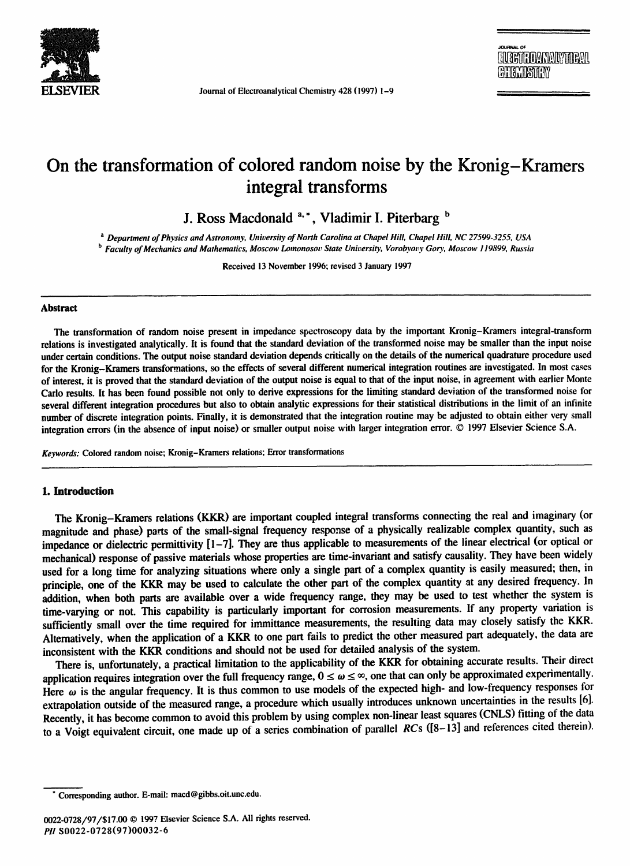

Journal of Electroanalytical Chemistry 428 (1997) 1-9

JotJnR~u. OF **U GETTE DAN ALYTTEAL Havisida**w

# **On the transformation of colored random noise by the Kronig-Kramers integral transforms**

**J. Ross Macdonald <sup>a, \*</sup>, Vladimir I. Piterbarg b** 

*<sup>a</sup>Department of Physics and Astronomy, University of North Carolina at Chapel Hill, Chapel Hill, NC 27599.3255, USA b Faculty of Mechanics and Mathematics, Moscow Lomonosor State University. Vorobyovy Goo,, Moscow ! 19899, Russia* 

Received 13 November 1996; revised 3 January 1997

#### **Abstract**

The transformation of random noise present in impedance spectroscopy data by the important Kronig-Kramers integral-transform relations is investigated analytically. It is found that the standard deviation of the transformed noise may be smaller than the input noise under certain conditions. The output noise standard deviation depends critically on the details of the numerical quadrature procedure used for the Kronig-Kramers transformations, so the effects of several different numerical integration routines are investigated. In most cases of interest, it is proved that the standard deviation of the output noise is equal to that of the input noise, in agreement with earlier Monte Carlo results. It has been found possible not only to derive expressions for the limiting standard deviation of the transformed noise for several different integration procedures but also to obtain analytic expressions for their statistical distributions in the limit of an infinite number of discrete integration points. Finally, it is demonstrated that the integration routine may be adjusted to obtain either very small integration errors (in the absence of input noise) or smaller output noise with larger integration error. © 1997 Elsevier Science S.A.

*Keywords:* Colored random noise; Kronig-Kramers relations; Error transformations

#### **1. Introduction**

The Kronig-Kramers relations (KKR) are important coupled integral transforms connecting the real and imaginary (or magnitude and phase) parts of the small-signal frequency response of a physically realizable complex quantity, such as impedance or dielectric permittivity [1-7]. They are thus applicable to measurements of the linear electrical (or optical or mechanical) response of passive materials whose properties are time-invariant and satisfy causality. They have been widely used for a long time for analyzing situations where only a single part of a complex quantity is easily measured; then, in principle, one of the KKR may be used to calculate the other part of the complex quantity at any desired frequency. In addition, when both parts are available over a wide frequency range, they may be used to test whether the system is time-varying or not. This capability is particularly important for corrosion measurements. If any property variation is sufficiently small over the time required for immittance measurements, the resulting data may closely satisfy the KKR. Alternatively, when the application of a KKR to one part fails to predict the other measured part adequately, the data are inconsistent with the KKR conditions and should not be used for detailed analysis of the system.

There is, unfortunately, a practical limitation to the applicability of the KKR for obtaining accurate results. Their direct application requires integration over the full frequency range,  $0 \le \omega \le \infty$ , one that can only be approximated experimentally. Here  $\omega$  is the angular frequency. It is thus common to use models of the expected high- and low-frequency responses for extrapolation outside of the measured range, a procedure which usually introduces unknown uncertainties in the results [6]. Recently, it has become common to avoid this problem by using complex non-linear least squares (CNLS) fitting of the data to a Voigt equivalent circuit, one made up of a series combination of parallel *RCs* ([8-13] and references cited therein).

Corresponding author. E-mail: macd@gibbs.oit.unc.edu.

<sup>0022-0728/97/\$17.00 © 1997</sup> Elsevier Science S.A. All rights reserved. PII S0022-0728(97)00032-6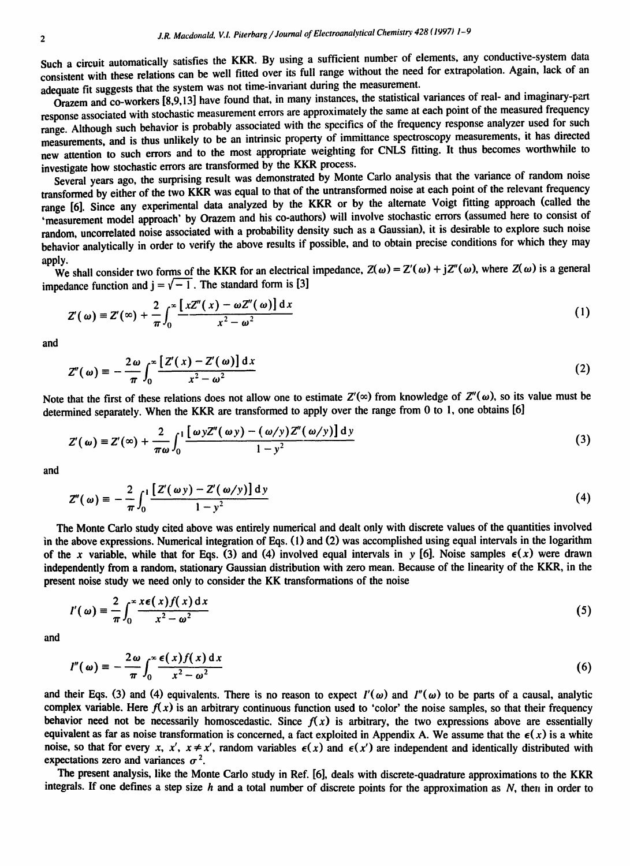Such a circuit automatically satisfies the KKR. By using a sufficient number of elements, any conductive-system data consistent with these relations can be well fitted over its full range without the need for extrapolation. Again, lack of an adequate fit suggests that the system was not time-invariant during the measurement.

 $O$ razem and co-workers [8,9,13] have found that, in many instances, the statistical variances of real- and imaginary-part response associated with stochastic measurement errors are approximately the same at each point of the measured frequency range. Although such behavior is probably associated with the specifics of the frequency response analyzer used for such measurements, and is thus unlikely to be an intrinsic property of immittance spectroscopy measurements, it has directed new attention to such errors and to the most appropriate weighting for CNLS fitting. It thus becomes worthwhile to investigate how stochastic errors are transformed by the KKR process.

Several years ago, the surprising result was demonstrated by Monte Carlo analysis that the variance of random noise transformed by either of the two KKR was equal to that of the untransformed noise at each point of the relevant frequency range [6]. Since any experimental data analyzed by the KKR or by the alternate Voigt fitting approach (called the 'measurement model approach' by Orazem and his co-authors) will involve stochastic errors (assumed here to consist of random, uncorrelated noise associated with a probability density such as a Gaussian), it is desirable to explore such noise behavior analytically in order to verify the above results if possible, and to obtain precise conditions for which they may apply.

We shall consider two forms of the KKR for an electrical impedance,  $Z(\omega) = Z'(\omega) + jZ''(\omega)$ , where  $Z(\omega)$  is a general impedance function and  $j = \sqrt{-1}$ . The standard form is [3]

$$
Z'(\omega) \equiv Z'(\infty) + \frac{2}{\pi} \int_0^\infty \frac{[xZ''(x) - \omega Z''(\omega)] dx}{x^2 - \omega^2}
$$
 (1)

and

$$
Z''(\omega) \equiv -\frac{2\,\omega}{\pi} \int_0^{\infty} \frac{\left[ \,Z'(x) - Z'(\omega) \right] \mathrm{d}x}{x^2 - \omega^2} \tag{2}
$$

Note that the first of these relations does not allow one to estimate  $Z'(\infty)$  from knowledge of  $Z''(\omega)$ , so its value must be determined separately. When the KKR are transformed to apply over the range from 0 to 1, one obtains [6]

$$
Z'(\omega) \equiv Z'(\infty) + \frac{2}{\pi \omega} \int_0^1 \frac{[\omega y Z''(\omega y) - (\omega/y) Z''(\omega/y)] dy}{1 - y^2}
$$
 (3)

and

$$
Z''(\omega) \equiv -\frac{2}{\pi} \int_0^1 \frac{\left[ Z'(\omega y) - Z'(\omega/y) \right] dy}{1 - y^2}
$$
 (4)

**The Monte Carlo study cited above was entirely numerical and dealt only with discrete values of the quantities involved in the above expressions. Numerical integration of Eqs. (1) and (2) was accomplished using equal intervals in the logarithm**  of the x variable, while that for Eqs. (3) and (4) involved equal intervals in y [6]. Noise samples  $\epsilon(x)$  were drawn **independently from a random, stationary Gaussian distribution with zero mean. Because of the iinearity of the KKR, in the**  present noise study we need only to consider the KK transformations of the noise

$$
I'(\omega) = \frac{2}{\pi} \int_0^\infty \frac{x \epsilon(x) f(x) dx}{x^2 - \omega^2}
$$
 (5)

and

$$
I''(\omega) = -\frac{2\omega}{\pi} \int_0^{\infty} \frac{\epsilon(x)f(x) dx}{x^2 - \omega^2}
$$
 (6)

and their Eqs. (3) and (4) equivalents. There is no reason to expect  $I'(\omega)$  and  $I''(\omega)$  to be parts of a causal, analytic complex variable. Here  $f(x)$  is an arbitrary continuous function used to 'color' the noise samples, so that their frequency behavior need not be necessarily homoscedastic. Since  $f(x)$  is arbitrary, the two expressions above are essentially equivalent as far as noise transformation is concerned, a fact exploited in Appendix A. We assume that the  $\epsilon(x)$  is a white noise, so that for every x, x',  $x \neq x'$ , random variables  $\epsilon(x)$  and  $\epsilon(x')$  are independent and identically distributed with expectations zero and variances  $\sigma^2$ .

The present analysis, like the Monte Carlo study in Ref. [6], deals with discrete-quadrature approximations to the KKR integrals. If one defines a step size  $h$  and a total number of discrete points for the approximation as  $N$ , then in order to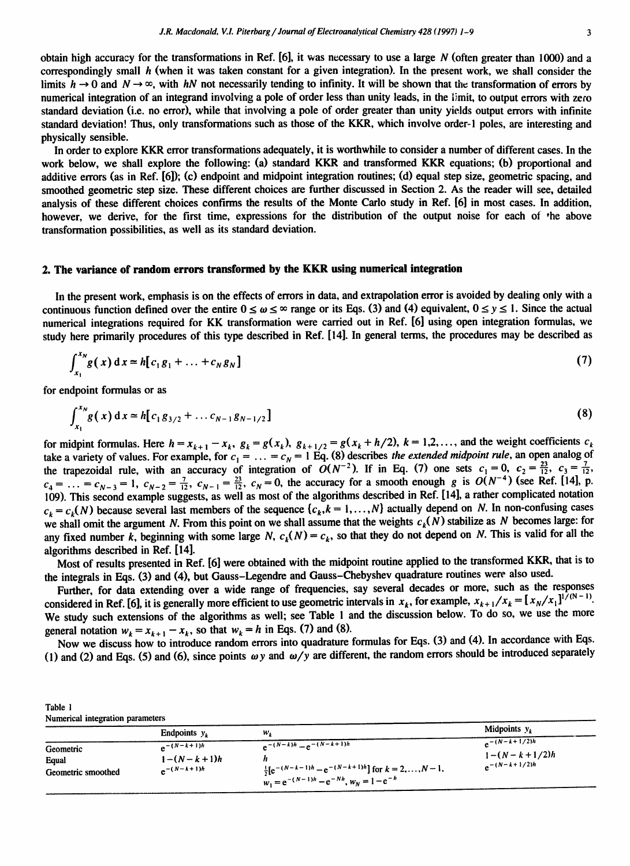In order to explore KKR error transformations adequately, it is worthwhile to consider a number of different cases. In the work below, we shall explore the following: (a) standard KKR and transformed KKR equations; (b) proportional and additive errors (as in Ref. [6]); (c) endpoint and midpoint integration routines; (d) equal step size, geometric spacing, **and**  smoothed geometric step size. These different choices are further discussed in Section 2. As the reader will see, detailed analysis of these different choices confirms the results of the Monte Carlo study in Ref. [6] in most cases. In addition, however, we derive, for the first time, expressions for the distribution of the output noise for each of the above transformation possibilities, as well as its standard deviation.

#### **2. The variance of random errors transformed by the KKR using numerical integration**

In the present work, emphasis is on the effects of errors in data, and extrapolation error is avoided by dealing only with a continuous function defined over the entire  $0 \le \omega \le \infty$  range or its Eqs. (3) and (4) equivalent,  $0 \le y \le 1$ . Since the actual numerical integrations required for KK transformation were carried out in Ref. [6] using open integration formulas, we study here primarily procedures of this type described in Ref. [14]. In general terms, the procedures may be described as

$$
\int_{x_1}^{x_N} g(x) dx = h[c_1 g_1 + \dots + c_N g_N]
$$
 (7)

for endpoint formulas or as

$$
\int_{x_1}^{x_N} g(x) dx \approx h[c_1 g_{3/2} + \dots c_{N-1} g_{N-1/2}]
$$
\n(8)

for midpint formulas. Here  $h = x_{k+1} - x_k$ ,  $g_k = g(x_k)$ ,  $g_{k+1/2} = g(x_k + h/2)$ ,  $k = 1, 2, \ldots$ , and the weight coefficients  $c_k$ take a variety of values. For example, for  $c_1 = \ldots = c_N = 1$  Eq. (8) describes *the extended midpoint rule*, an open analog of the trapezoidal rule, with an accuracy of integration of  $O(N^{-2})$ . If in Eq. (7) one sets  $c_1 = 0$  $c_1 = \ldots = c_{N-3} = 1$ ,  $c_{N-2} = \frac{7}{12}$ ,  $c_{N-1} = \frac{23}{12}$ ,  $c_N = 0$ , the accuracy for a smooth enough g is  $O(N^{-4})$  (see Ref. [14], p. 109). This second example suggests, as well as most of the algorithms described in Ref. [14], a rather complicated notation  $c_k = c_k(N)$  because several last members of the sequence  $\{c_k, k = 1, ..., N\}$  actually depend on N. In non-confusing cases we shall omit the argument N. From this point on we shall assume that the weights  $c_k(N)$  stabilize as N becomes large: for any fixed number k, beginning with some large N,  $c_k(N) = c_k$ , so that they do not depend on N. This is valid for all the algorithms described in Ref. [14].

Most of results presented in Ref. [6] were obtained with the midpoint routine applied to the transformed KKR, that is to the integrals in Eqs. (3) and (4), but Gauss-Legendre and Gauss-Cbebyshev quadrature routines were also used.

Further, for data extending over a wide range of frequencies, say several decades or more, such as the responses considered in Ref. [6], it is generally more efficient to use geometric intervals in  $x_k$ , for example,  $x_{k+1}/x_k = [x_N/x_1]^{1/(N-1)}$ . We study such extensions of the algorithms as well; see Table l and the discussion below. To do so, we use the more general notation  $w_k = x_{k+1} - x_k$ , so that  $w_k = h$  in Eqs. (7) and (8).

Now we discuss how to introduce random errors into quadrature formulas for Eqs. (3) and (4). In accordance with Eqs. (1) and (2) and Eqs. (5) and (6), since points  $\omega y$  and  $\omega/y$  are different, the random errors should be introduced separately

| Table 1<br>Numerical integration parameters |                                                           |                                                                                                                                                          |                                                          |
|---------------------------------------------|-----------------------------------------------------------|----------------------------------------------------------------------------------------------------------------------------------------------------------|----------------------------------------------------------|
|                                             | Endpoints $y_k$                                           | $w_k$                                                                                                                                                    | Midpoints $y_k$                                          |
| Geometric<br>Equal<br>Geometric smoothed    | $A^{-(N-k+1)h}$<br>$1 - (N - k + 1)h$<br>$A^{-1}(N-k+1)h$ | $e^{-(N-k)h} - e^{-(N-k+1)h}$<br>$\frac{1}{2} [e^{-(N-k-1)h} - e^{-(N-k+1)h}]$ for $k = 2,, N-1$ ,<br>$w_1 = e^{-(N-1)h} - e^{-Nh}$ , $w_N = 1 - e^{-h}$ | $e^{-(N-k+1/2)h}$<br>$1-(N-k+1/2)h$<br>$e^{-(N-k+1/2)h}$ |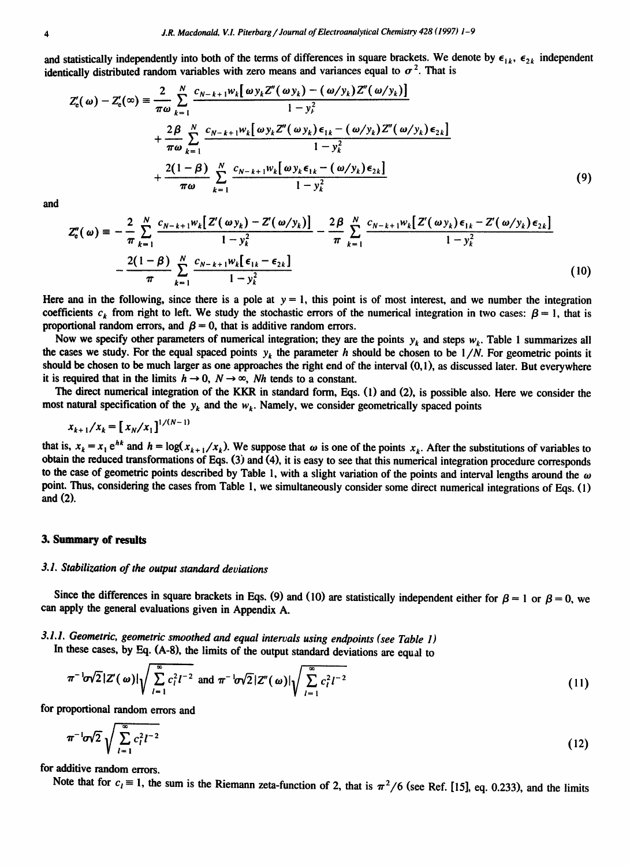and statistically independently into both of the terms of differences in square brackets. We denote by  $\epsilon_{1k}$ ,  $\epsilon_{2k}$  independent identically distributed random variables with zero means and variances equal to  $\sigma^2$ . That is

$$
Z'_{\epsilon}(\omega) - Z'_{\epsilon}(\omega) = \frac{2}{\pi \omega} \sum_{k=1}^{N} \frac{c_{N-k+1} w_k [\omega y_k Z''(\omega y_k) - (\omega / y_k) Z''(\omega / y_k)]}{1 - y_k^2}
$$
  
+ 
$$
\frac{2\beta}{\pi \omega} \sum_{k=1}^{N} \frac{c_{N-k+1} w_k [\omega y_k Z''(\omega y_k) \epsilon_{1k} - (\omega / y_k) Z''(\omega / y_k) \epsilon_{2k}]}{1 - y_k^2}
$$
  
+ 
$$
\frac{2(1 - \beta)}{\pi \omega} \sum_{k=1}^{N} \frac{c_{N-k+1} w_k [\omega y_k \epsilon_{1k} - (\omega / y_k) \epsilon_{2k}]}{1 - y_k^2}
$$
(9)

and

$$
Z_{e}''(\omega) = -\frac{2}{\pi} \sum_{k=1}^{N} \frac{c_{N-k+1} w_k \left[ Z'(\omega y_k) - Z'(\omega / y_k) \right]}{1 - y_k^2} - \frac{2\beta}{\pi} \sum_{k=1}^{N} \frac{c_{N-k+1} w_k \left[ Z'(\omega y_k) \epsilon_{1k} - Z'(\omega / y_k) \epsilon_{2k} \right]}{1 - y_k^2} - \frac{2(1 - \beta)}{\pi} \sum_{k=1}^{N} \frac{c_{N-k+1} w_k \left[ \epsilon_{1k} - \epsilon_{2k} \right]}{1 - y_k^2}
$$
(10)

Here and in the following, since there is a pole at  $y = 1$ , this point is of most interest, and we number the integration coefficients  $c_k$  from right to left. We study the stochastic errors of the numerical integration in two cases:  $\beta = 1$ , that is proportional random errors, and  $\beta = 0$ , that is additive random errors.

Now we specify other parameters of numerical integration; they are the points  $y_k$  and steps  $w_k$ . Table 1 summarizes all the cases we study. For the equal spaced points  $y_k$  the parameter h should be chosen to be  $1/N$ . For geometric points it should be chosen to be much larger as one approaches the right end of the interval (0,1), as discussed later. But everywhere it is required that in the limits  $h \to 0$ ,  $N \to \infty$ , Nh tends to a constant.

The direct numerical integration of the KKR in standard form, Eqs. (1) and (2), is possible also. Here we consider the most natural specification of the  $y_k$  and the  $w_k$ . Namely, we consider geometrically spaced points

$$
x_{k+1}/x_k = [x_N/x_1]^{1/(N-1)}
$$

that is,  $x_k = x_1 e^{hk}$  and  $h = \log(x_{k+1}/x_k)$ . We suppose that  $\omega$  is one of the points  $x_k$ . After the substitutions of variables to obtain the reduced transformations of Eqs. (3) and (4), it is easy to see that this numerical integration procedure corresponds to the case of geometric points described by Table 1, with a slight variation of the points and interval lengths around the  $\omega$ point. Thus, considering the cases from Table 1, we simultaneously consider some direct numerical integrations of Eqs. (1) and (2).

#### **3. Summary of results**

## *3.1. Stabilization of the output standard deviations*

Since the differences in square brackets in Eqs. (9) and (10) are statistically independent either for  $\beta = 1$  or  $\beta = 0$ , we can apply the general evaluations given in Appendix A.

*3.1.1. Geometric, geometric smoothed and equal intervals using endpoints (see Table 1)* 

In these cases, by Eq. (A-8), the limits of the output standard deviations are equal to

$$
\pi^{-1}\sigma\sqrt{2}|Z'(\omega)|\sqrt{\sum_{l=1}^{\infty}c_l^2l^{-2}}\text{ and }\pi^{-1}\sigma\sqrt{2}|Z''(\omega)|\sqrt{\sum_{l=1}^{\infty}c_l^2l^{-2}}
$$
\n(11)

for proportional random errors and

$$
\pi^{-1} \sigma \sqrt{2} \sqrt{\sum_{l=1}^{\infty} c_l^2 l^{-2}}
$$
 (12)

for additive random errors.

Note that for  $c_1 \equiv 1$ , the sum is the Riemann zeta-function of 2, that is  $\pi^2/6$  (see Ref. [15], eq. 0.233), and the limits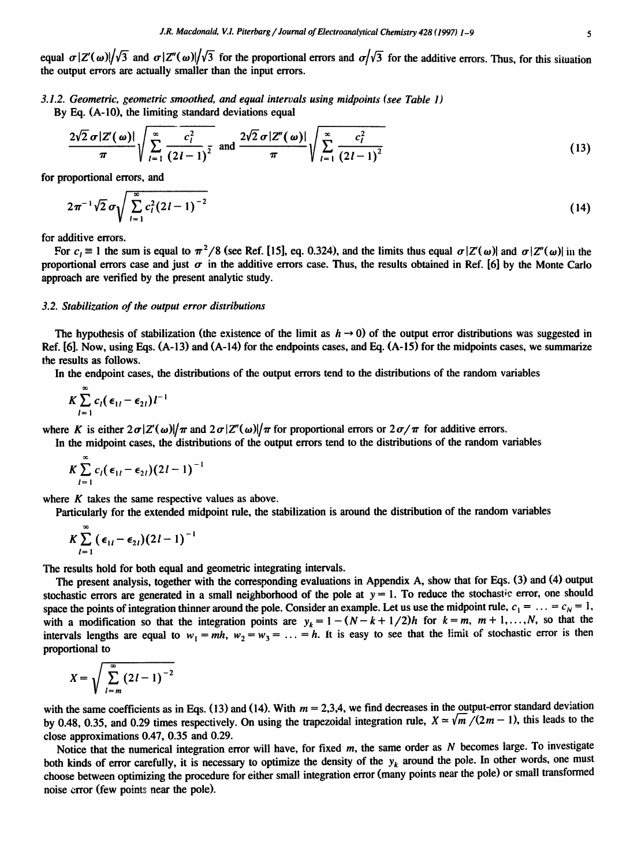equal  $\sigma$ |Z'( $\omega$ )| $\sqrt{3}$  and  $\sigma$ |Z''( $\omega$ )| $\sqrt{3}$  for the proportional errors and  $\sigma$ | $\sqrt{3}$  for the additive errors. Thus, for this situation the output errors are actually smaller than the input errors.

*3.1.2. Geometric, geometric smoothed, and equal intervals using midpoints (see Table 1)* 

By Eq. (A-10), the limiting standard deviations equal

$$
\frac{2\sqrt{2}\,\sigma|Z'(\omega)|}{\pi}\sqrt{\sum_{l=1}^{\infty}\frac{c_l^2}{(2l-1)^2}}\text{ and } \frac{2\sqrt{2}\,\sigma|Z''(\omega)|}{\pi}\sqrt{\sum_{l=1}^{\infty}\frac{c_l^2}{(2l-1)^2}}
$$
(13)

for proportional errors, and

$$
2\pi^{-1}\sqrt{2}\,\sigma\sqrt{\sum_{l=1}^{\infty}c_l^2(2l-1)^{-2}}\tag{14}
$$

for additive errors.

For  $c_1 \equiv 1$  the sum is equal to  $\pi^2/8$  (see Ref. [15], eq. 0.324), and the limits thus equal  $\sigma |Z'(\omega)|$  and  $\sigma |Z''(\omega)|$  in the proportional errors case and just  $\sigma$  in the additive errors case. Thus, the results obtained in Ref. [6] by the Monte Carlo approach are verified by the present analytic study.

#### *3.2. Stabilization of the output error distributions*

The hypothesis of stabilization (the existence of the limit as  $h \to 0$ ) of the output error distributions was suggested in Ref. [6]. Now, using Eqs. (A-13) and (A-14) for the endpoints cases, and Eq. (A-15) for the midpoints cases, we summarize the results as follows.

In the endpoint cases, the distributions of the output errors tend to the distributions of the random variables

$$
K\sum_{l=1}^{\infty}c_{l}(\epsilon_{1l}-\epsilon_{2l})l^{-1}
$$

where K is either  $2\sigma|Z'(\omega)|/\pi$  and  $2\sigma|Z'(\omega)|/\pi$  for proportional errors or  $2\sigma/\pi$  for additive errors.

In the midpoint cases, the distributions of the output errors tend to the distributions of the random variables

$$
K\sum_{l=1}^{\infty}c_{l}(\epsilon_{1l}-\epsilon_{2l})(2l-1)^{-1}
$$

where  $K$  takes the same respective values as above.

Particularly for the extended midpoint rule, the stabilization is around the distribution of the random variables

$$
K\sum_{l=1}^{\infty}(\epsilon_{1l}-\epsilon_{2l})(2l-1)^{-1}
$$

The results hold for both equal and geometric integrating intervals.

The present analysis, together with the corresponding evaluations in Appendix A, show that for Eqs. (3) and (4) output stochastic errors are generated in a small neighborhood of the pole at  $y = 1$ . To reduce the stochastic error, one should space the points of integration thinner around the pole. Consider an example. Let us use the midpoint rule,  $c_1 = \ldots = c_N = 1$ , with a modification so that the integration points are  $y_k = 1 - (N - k + 1/2)h$  for  $k = m$ ,  $m + 1, ..., N$ , so that the intervals lengths are equal to  $w_1 = mh$ ,  $w_2 = w_3 = \ldots = h$ . It is easy to see that the limit of stochastic error is then proportional to

$$
X=\sqrt{\sum_{l=m}^{\infty}(2l-1)^{-2}}
$$

with the same coefficients as in Eqs. (13) and (14). With  $m = 2,3,4$ , we find decreases in the output-error standard deviation by 0.48, 0.35, and 0.29 times respectively. On using the trapezoidal integration rule,  $X \approx \sqrt{m}/(2m-1)$ , this leads to the close approximations 0.47, 0.35 and 0.29.

Notice that the numerical integration error will have, for fixed  $m$ , the same order as  $N$  becomes large. To investigate both kinds of error carefully, it is necessary to optimize the density of the  $y_k$  around the pole. In other words, one must choose between optimizing the procedure for either small integration error (many points near the pole) or small transformed noise error (few points near the pole).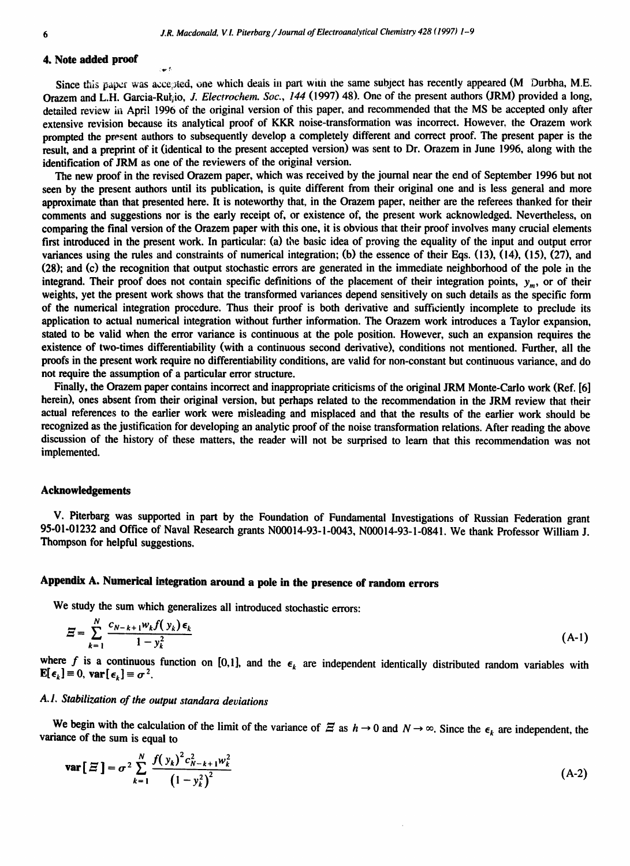#### **4. Note added proof**

Since this paper was accepted, one which deals in part with the same subject has recently appeared (M Durbha, M.E. Orazem and L.H. Garcia-Rut<sub>i</sub>io, *J. Electrochem. Soc., 144* (1997) 48). One of the present authors (JRM) provided a long, detailed review in April 1996 of the original version of this paper, and recommended that the MS be accepted only after extensive revision because its analytical proof of KKR noise-transformation was incorrect. However, the Orazem work prompted the present authors to subsequently develop a completely different and correct proof. The present paper is the result, and a preprint of it (identical to the present accepted version) was sent to Dr. Orazem in June 1996, along with the identification of JRM as one of the reviewers of the original version.

The new proof in the revised Orazem paper, which was received by the journal near the end of September 1996 but not seen by the present authors until its publication, is quite different from their original one and is less general and more approximate than that presented here. It is noteworthy that, in the Orazem paper, neither are the referees thanked for their comments and suggestions nor is the early receipt of, or existence of, the present work acknowledged. Nevertheless, on comparing the final version of the Orazem paper with this one, it is obvious that their proof involves many crucial elements first introduced in the present work. In particular: (a) the basic idea of proving the equality of the input and output error variances using the rules and constraints of numerical integration; (b) the essence of their Eqs. (13), (14), (15), (27), and (28); and (c) the recognition that output stochastic errors are generated in the immediate neighborhood of the pole in the integrand. Their proof does not contain specific definitions of the placement of their integration points,  $y_m$ , or of their weights, yet the present work shows that the transformed variances depend sensitively on such details as the specific form of the numerical integration procedure. Thus their proof is both derivative and sufficiently incomplete to preclude its application to actual numerical integration without further information. The Orazem work introduces a Taylor expansion, stated to be valid when the error variance is continuous at the pole position. However, such an expansion requires the existence of two-times differentiability (with a continuous second derivative), conditions not mentioned. Further, all the proofs in the present work require no differentiability conditions, are valid for non-constant but continuous variance, and do not require the assumption of a particular error structure.

Finally, the Orazem paper contains incorrect and inappropriate criticisms of the original JRM Monte-Carlo work (Ref. [6] herein), ones absent from their original version, but perhaps related to the recommendation in the JRM review that their actual references to the earlier work were misleading and misplaced and that the results of the earlier work should be recognized as the justification for developing an analytic proof of the noise transformation relations. After reading the above discussion of the history of these matters, the reader will not be surprised to learn that this recommendation was not implemented.

#### **Acknowledgements**

V. Piterbarg was supported in part by the Foundation of Fundamental Investigations of Russian Federation grant 95-01-01232 and Office of Naval Research grants N00014-93-1-0043, N00014-93-1-0841. We thank Professor William J. Thompson for helpful suggestions.

# **Appendix A. Numerical integration around a pole in the presence of random errors**

We study the sum which generalizes all introduced stochastic errors:

$$
\Xi = \sum_{k=1}^{N} \frac{c_{N-k+1} w_k f(\mathbf{y}_k) \epsilon_k}{1 - \mathbf{y}_k^2} \tag{A-1}
$$

where f is a continuous function on [0,1], and the  $\epsilon_k$  are independent identically distributed random variables with  $\mathbf{E}[\epsilon_k] \equiv 0$ ,  $\mathbf{var}[\epsilon_k] \equiv \sigma^2$ .

# *A. 1. Stabilization of the output standara deviations*

We begin with the calculation of the limit of the variance of  $\Xi$  as  $h \to 0$  and  $N \to \infty$ . Since the  $\epsilon_k$  are independent, the variance of the sum is equal to

$$
\mathbf{var}[\Xi] = \sigma^2 \sum_{k=1}^N \frac{f(y_k)^2 c_{N-k+1}^2 w_k^2}{(1 - y_k^2)^2}
$$
 (A-2)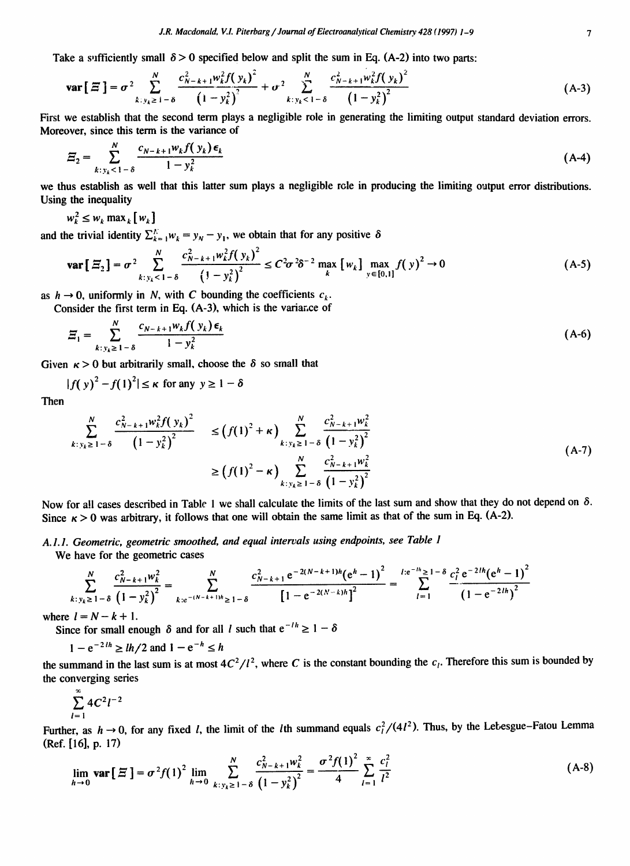Take a sufficiently small  $\delta > 0$  specified below and split the sum in Eq. (A-2) into two parts:

$$
\text{var}\big[\,\Xi\,\big] = \sigma^2 \sum_{k \,:\, y_k \geq 1-\delta}^N \frac{c_{N-k+1}^2 w_k^2 f\big(\,y_k\big)^2}{\big(1-y_k^2\big)^2} + \sigma^2 \sum_{k \,:\, y_k < 1-\delta}^N \frac{c_{N-k+1}^2 w_k^2 f\big(\,y_k\big)^2}{\big(1-y_k^2\big)^2} \tag{A-3}
$$

First we establish that the second term plays a negligible role in generating the limiting output standard deviation errors. Moreover, since this term is the variance of

$$
\Xi_2 = \sum_{k:y_k < 1-\delta}^{N} \frac{c_{N-k+1} w_k f(\mathbf{y}_k) \epsilon_k}{1 - y_k^2} \tag{A-4}
$$

we thus establish as well thai this latter sum plays a negligible role in producing the limiting output error distributions. Using the inequality

 $w_k^2 \leq w_k \max_k [w_k]$ 

and the trivial identity  $\sum_{k=1}^{N} w_k = y_N - y_1$ , we obtain that for any positive  $\delta$ 

$$
\mathbf{var}\left[\Xi_{2}\right] = \sigma^{2} \sum_{k+y_{k} < 1-\delta}^{N} \frac{c_{N-k+1}^{2} w_{k}^{2} f\left(y_{k}\right)^{2}}{\left(1 - y_{k}^{2}\right)^{2}} \leq C^{2} \sigma^{2} \delta^{-2} \max_{k} \left[w_{k}\right] \max_{y \in [0,1]} f\left(y\right)^{2} \to 0 \tag{A-5}
$$

as  $h \to 0$ , uniformly in N, with C bounding the coefficients  $c_k$ .

Consider the first term in Eq. (A-3), which is the variance of

$$
\Xi_1 = \sum_{k:y_k \geq 1-\delta}^{N} \frac{c_{N-k+1} w_k f(y_k) \epsilon_k}{1 - y_k^2} \tag{A-6}
$$

Given  $\kappa > 0$  but arbitrarily small, choose the  $\delta$  so small that

$$
|f(y)^2 - f(1)^2| \le \kappa \text{ for any } y \ge 1 - \delta
$$

Then

$$
\sum_{k+y_k \geq 1-\delta}^{N} \frac{c_{N-k+1}^2 w_k^2 f(y_k)^2}{(1-y_k^2)^2} \leq (f(1)^2 + \kappa) \sum_{k+y_k \geq 1-\delta}^{N} \frac{c_{N-k+1}^2 w_k^2}{(1-y_k^2)^2}
$$
\n
$$
\geq (f(1)^2 - \kappa) \sum_{k+y_k \geq 1-\delta}^{N} \frac{c_{N-k+1}^2 w_k^2}{(1-y_k^2)^2}
$$
\n(A-7)

Now for all cases described in Table 1 we shall calculate the limits of the last sum and show that they do not depend on  $\delta$ . Since  $\kappa > 0$  was arbitrary, it follows that one will obtain the same limit as that of the sum in Eq. (A-2).

*A. 1.1. Geometric, geometric smoothed, and equal intervals using endpoints, see Table 1* 

We have for the geometric cases

$$
\sum_{k+y_k \geq 1-\delta}^{N} \frac{c_{N-k+1}^2 w_k^2}{(1-y_k^2)^2} = \sum_{k=e^{-(N-k+1)h} \geq 1-\delta}^{N} \frac{c_{N-k+1}^2 e^{-2(N-k+1)h} (e^h - 1)^2}{[1 - e^{-2(N-k)h}]^2} = \sum_{l=1}^{l:e^{-lh} \geq 1-\delta} \frac{c_l^2 e^{-2lh} (e^h - 1)^2}{(1 - e^{-2lh})^2}
$$

where  $l = N - k + 1$ .

Since for small enough  $\delta$  and for all l such that  $e^{-1/h} \geq 1 - \delta$ 

 $1 - e^{-2/h} \geq lh/2$  and  $1 - e^{-h} \leq h$ 

the summand in the last sum is at most  $4C^2/l^2$ , where C is the constant bounding the  $c_l$ . Therefore this sum is bounded by the converging series

$$
\sum_{l=1}^{\infty} 4C^2l^{-2}
$$

Further, as  $h \to 0$ , for any fixed l, the limit of the lth summand equals  $c_l^2/(4l^2)$ . Thus, by the Lebesgue–Fatou Lemma (Ref. [ 16], p. 17)

$$
\lim_{h \to 0} \mathbf{var} \left[ \Xi \right] = \sigma^2 f(1)^2 \lim_{h \to 0} \sum_{k: y_k \ge 1 - \delta}^{N} \frac{c_{N-k+1}^2 w_k^2}{\left(1 - y_k^2\right)^2} = \frac{\sigma^2 f(1)^2}{4} \sum_{l=1}^{\infty} \frac{c_l^2}{l^2}
$$
\n(A-8)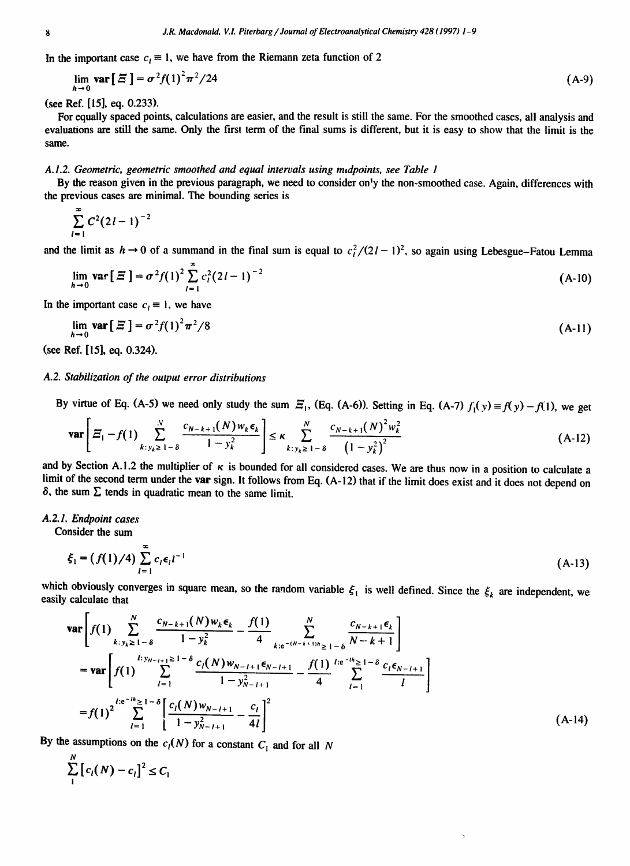In the important case  $c_1 \equiv 1$ , we have from the Riemann zeta function of 2

$$
\lim_{h \to 0} \mathbf{var} \left[ \Xi \right] = \sigma^2 f(1)^2 \pi^2 / 24 \tag{A-9}
$$

(see Ref. [15], eq. 0.233).

For equally spaced points, calculations are easier, and the result is still the same. For the smoothed cases, all analysis and evaluations are still the same. Only the first term of the final sums is different, but it is easy to show that the limit is the same.

#### *A.1.2. Geometric, geometric smoothed and equal intervals using midpoints, see Table 1*

By the reason given in the previous paragraph, we need to consider on'y the non-smoothed case. Again, differences with the previous cases are minimal. The bounding series is

$$
\sum_{l=1}^{\infty} C^2 (2l-1)^{-2}
$$

and the limit as  $h \to 0$  of a summand in the final sum is equal to  $c_l^2/(2l-1)^2$ , so again using Lebesgue-Fatou Lemma

$$
\lim_{h \to 0} \mathbf{var} \left[ \Xi \right] = \sigma^2 f(1)^2 \sum_{l=1}^{\infty} c_l^2 (2l-1)^{-2}
$$
 (A-10)

In the important case  $c_i \equiv 1$ , we have

$$
\lim_{h \to 0} \mathbf{var} \left[ \Xi \right] = \sigma^2 f(1)^2 \pi^2 / 8 \tag{A-11}
$$

(see Ref. [15], eq. 0.324).

## *A.2. Stabilization of the output error distributions*

By virtue of Eq. (A-5) we need only study the sum  $\mathcal{Z}_1$ , (Eq. (A-6)). Setting in Eq. (A-7)  $f_1(y) \equiv f(y) - f(1)$ , we get

$$
\mathbf{var}\left[\Xi_1 - f(1) \sum_{k: y_k \geq 1 - \delta}^{N} \frac{c_{N-k+1}(N) w_k \epsilon_k}{1 - y_k^2} \right] \leq \kappa \sum_{k: y_k \geq 1 - \delta}^{N} \frac{c_{N-k+1}(N)^2 w_k^2}{\left(1 - y_k^2\right)^2} \tag{A-12}
$$

and by Section A.1.2 the multiplier of  $\kappa$  is bounded for all considered cases. We are thus now in a position to calculate a limit of the second term under the var sign. It follows from Eq. (A-12) that if the limit does exist and it does not depend on  $\delta$ , the sum  $\Sigma$  tends in quadratic mean to the same limit.

#### *A.2.1. Endpoint cases*

 $\mathbf{r}$ 

Consider the sum

$$
\xi_1 = (f(1)/4) \sum_{l=1}^{\infty} c_l \epsilon_l l^{-1}
$$
 (A-13)

which obviously converges in square mean, so the random variable  $\xi_1$  is well defined. Since the  $\xi_k$  are independent, we easily calculate that

$$
\begin{split}\n\text{var}\left[f(1)\sum_{k:y_{k}\geq 1-\delta}^{N}\frac{c_{N-k+1}(N)w_{k}\epsilon_{k}}{1-y_{k}^{2}}-\frac{f(1)}{4}\sum_{k:e^{-(N-k+1)h}\geq 1-\delta}^{N}\frac{c_{N-k+1}\epsilon_{k}}{N-k+1}\right] \\
&=\text{var}\left[f(1)\sum_{l=1}^{l:y_{N-l+1}\geq 1-\delta}\frac{c_{l}(N)w_{N-l+1}\epsilon_{N-l+1}}{1-y_{N-l+1}^{2}}-\frac{f(1)}{4}\sum_{l=1}^{l:e^{-lh}\geq 1-\delta}\frac{c_{l}\epsilon_{N-l+1}}{l}\right] \\
&=f(1)^{2}\sum_{l=1}^{l:e^{-lh}\geq 1-\delta}\left[\frac{c_{l}(N)w_{N-l+1}}{1-y_{N-l+1}^{2}}-\frac{c_{l}}{4l}\right]^{2}\n\end{split} \tag{A-14}
$$

By the assumptions on the  $c_l(N)$  for a constant  $C_l$  and for all N

$$
\sum_{1}^{N} [c_i(N) - c_i]^2 \leq C_1
$$